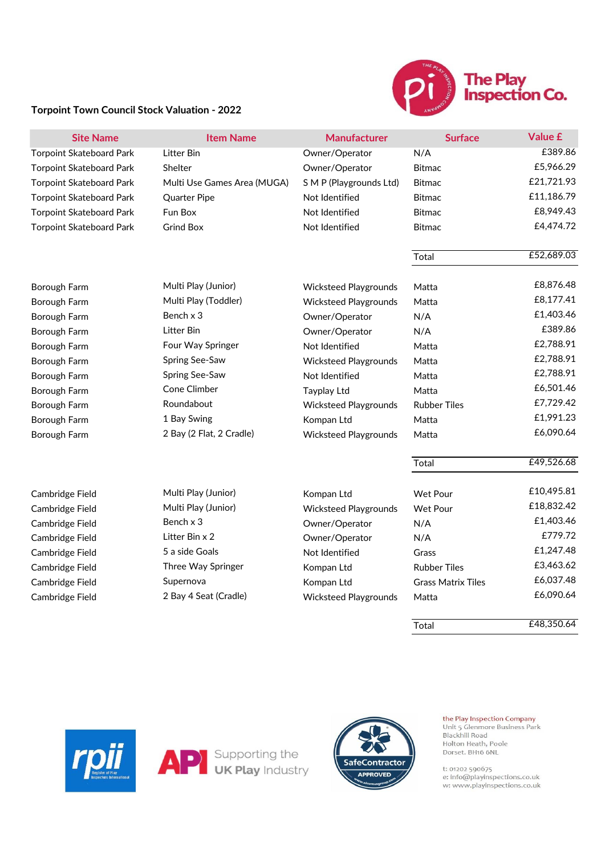

## **Torpoint Town Council Stock Valuation - 2022**

| <b>Site Name</b>                | <b>Item Name</b>            | <b>Manufacturer</b>          | <b>Surface</b>            | Value £    |
|---------------------------------|-----------------------------|------------------------------|---------------------------|------------|
| <b>Torpoint Skateboard Park</b> | Litter Bin                  | Owner/Operator               | N/A                       | £389.86    |
| <b>Torpoint Skateboard Park</b> | Shelter                     | Owner/Operator               | <b>Bitmac</b>             | £5,966.29  |
| <b>Torpoint Skateboard Park</b> | Multi Use Games Area (MUGA) | S M P (Playgrounds Ltd)      | <b>Bitmac</b>             | £21,721.93 |
| <b>Torpoint Skateboard Park</b> | <b>Quarter Pipe</b>         | Not Identified               | <b>Bitmac</b>             | £11,186.79 |
| <b>Torpoint Skateboard Park</b> | Fun Box                     | Not Identified               | <b>Bitmac</b>             | £8,949.43  |
| <b>Torpoint Skateboard Park</b> | <b>Grind Box</b>            | Not Identified               | <b>Bitmac</b>             | £4,474.72  |
|                                 |                             |                              | Total                     | £52,689.03 |
| Borough Farm                    | Multi Play (Junior)         | <b>Wicksteed Playgrounds</b> | Matta                     | £8,876.48  |
| Borough Farm                    | Multi Play (Toddler)        | <b>Wicksteed Playgrounds</b> | Matta                     | £8,177.41  |
| Borough Farm                    | Bench x 3                   | Owner/Operator               | N/A                       | £1,403.46  |
| Borough Farm                    | Litter Bin                  | Owner/Operator               | N/A                       | £389.86    |
| Borough Farm                    | Four Way Springer           | Not Identified               | Matta                     | £2,788.91  |
| Borough Farm                    | Spring See-Saw              | <b>Wicksteed Playgrounds</b> | Matta                     | £2,788.91  |
| Borough Farm                    | Spring See-Saw              | Not Identified               | Matta                     | £2,788.91  |
| Borough Farm                    | Cone Climber                | <b>Tayplay Ltd</b>           | Matta                     | £6,501.46  |
| Borough Farm                    | Roundabout                  | <b>Wicksteed Playgrounds</b> | <b>Rubber Tiles</b>       | £7,729.42  |
| Borough Farm                    | 1 Bay Swing                 | Kompan Ltd                   | Matta                     | £1,991.23  |
| Borough Farm                    | 2 Bay (2 Flat, 2 Cradle)    | <b>Wicksteed Playgrounds</b> | Matta                     | £6,090.64  |
|                                 |                             |                              | Total                     | £49,526.68 |
| Cambridge Field                 | Multi Play (Junior)         | Kompan Ltd                   | <b>Wet Pour</b>           | £10,495.81 |
| Cambridge Field                 | Multi Play (Junior)         | <b>Wicksteed Playgrounds</b> | <b>Wet Pour</b>           | £18,832.42 |
| Cambridge Field                 | Bench x 3                   | Owner/Operator               | N/A                       | £1,403.46  |
| Cambridge Field                 | Litter Bin x 2              | Owner/Operator               | N/A                       | £779.72    |
| Cambridge Field                 | 5 a side Goals              | Not Identified               | Grass                     | £1,247.48  |
| Cambridge Field                 | Three Way Springer          | Kompan Ltd                   | <b>Rubber Tiles</b>       | £3,463.62  |
| Cambridge Field                 | Supernova                   | Kompan Ltd                   | <b>Grass Matrix Tiles</b> | £6,037.48  |
| Cambridge Field                 | 2 Bay 4 Seat (Cradle)       | <b>Wicksteed Playgrounds</b> | Matta                     | £6,090.64  |

Total £48,350.64

**Supporting the UK Play Industry** 





the Play Inspection Company Unit 5 Glenmore Business Park Blackhill Road Holton Heath, Poole Dorset. BH16 6NL

t: 01202 590675<br>e: info@playinspections.co.uk<br>w: www.playinspections.co.uk